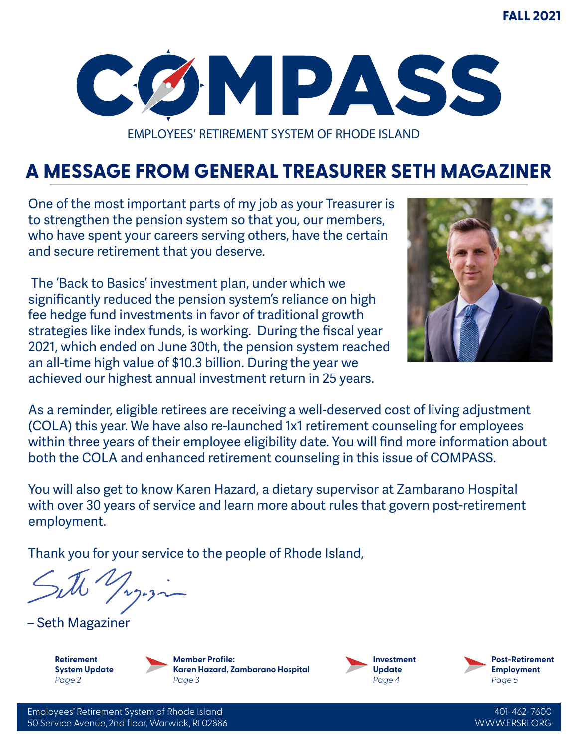

EMPLOYEES' RETIREMENT SYSTEM OF RHODE ISLAND

# **A MESSAGE FROM GENERAL TREASURER SETH MAGAZINER**

One of the most important parts of my job as your Treasurer is to strengthen the pension system so that you, our members, who have spent your careers serving others, have the certain and secure retirement that you deserve.

 The 'Back to Basics' investment plan, under which we significantly reduced the pension system's reliance on high fee hedge fund investments in favor of traditional growth strategies like index funds, is working. During the fiscal year 2021, which ended on June 30th, the pension system reached an all-time high value of \$10.3 billion. During the year we achieved our highest annual investment return in 25 years.



As a reminder, eligible retirees are receiving a well-deserved cost of living adjustment (COLA) this year. We have also re-launched 1x1 retirement counseling for employees within three years of their employee eligibility date. You will find more information about both the COLA and enhanced retirement counseling in this issue of COMPASS.

You will also get to know Karen Hazard, a dietary supervisor at Zambarano Hospital with over 30 years of service and learn more about rules that govern post-retirement employment.

Thank you for your service to the people of Rhode Island,

– Seth Magaziner

**Retirement System Update** *Page 2*

**Member Profile: Karen Hazard, Zambarano Hospital** *Page 3*





Employees' Retirement System of Rhode Island 50 Service Avenue, 2nd floor, Warwick, RI 02886

401-462-7600 WWW.ERSRI.ORG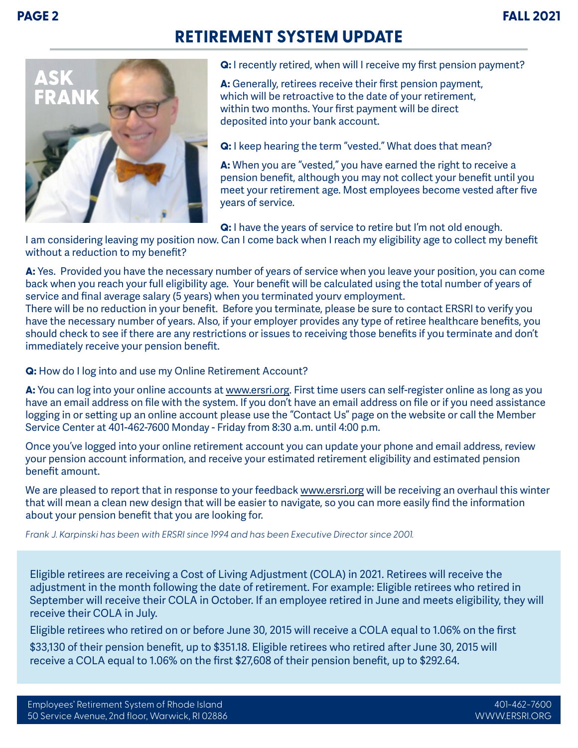## **RETIREMENT SYSTEM UPDATE**



**Q:** I recently retired, when will I receive my first pension payment?

**A:** Generally, retirees receive their first pension payment, which will be retroactive to the date of your retirement, within two months. Your first payment will be direct deposited into your bank account.

**Q:** I keep hearing the term "vested." What does that mean?

**A:** When you are "vested," you have earned the right to receive a pension benefit, although you may not collect your benefit until you meet your retirement age. Most employees become vested after five years of service.

**Q:** I have the years of service to retire but I'm not old enough.

I am considering leaving my position now. Can I come back when I reach my eligibility age to collect my benefit without a reduction to my benefit?

**A:** Yes. Provided you have the necessary number of years of service when you leave your position, you can come back when you reach your full eligibility age. Your benefit will be calculated using the total number of years of service and final average salary (5 years) when you terminated yourv employment.

There will be no reduction in your benefit. Before you terminate, please be sure to contact ERSRI to verify you have the necessary number of years. Also, if your employer provides any type of retiree healthcare benefits, you should check to see if there are any restrictions or issues to receiving those benefits if you terminate and don't immediately receive your pension benefit.

**Q:** How do I log into and use my Online Retirement Account?

**A:** You can log into your online accounts at www.ersri.org. First time users can self-register online as long as you have an email address on file with the system. If you don't have an email address on file or if you need assistance logging in or setting up an online account please use the "Contact Us" page on the website or call the Member Service Center at 401-462-7600 Monday - Friday from 8:30 a.m. until 4:00 p.m.

Once you've logged into your online retirement account you can update your phone and email address, review your pension account information, and receive your estimated retirement eligibility and estimated pension benefit amount.

We are pleased to report that in response to your feedback www.ersri.org will be receiving an overhaul this winter that will mean a clean new design that will be easier to navigate, so you can more easily find the information about your pension benefit that you are looking for.

*Frank J. Karpinski has been with ERSRI since 1994 and has been Executive Director since 2001.*

Eligible retirees are receiving a Cost of Living Adjustment (COLA) in 2021. Retirees will receive the adjustment in the month following the date of retirement. For example: Eligible retirees who retired in September will receive their COLA in October. If an employee retired in June and meets eligibility, they will receive their COLA in July.

Eligible retirees who retired on or before June 30, 2015 will receive a COLA equal to 1.06% on the first

\$33,130 of their pension benefit, up to \$351.18. Eligible retirees who retired after June 30, 2015 will receive a COLA equal to 1.06% on the first \$27,608 of their pension benefit, up to \$292.64.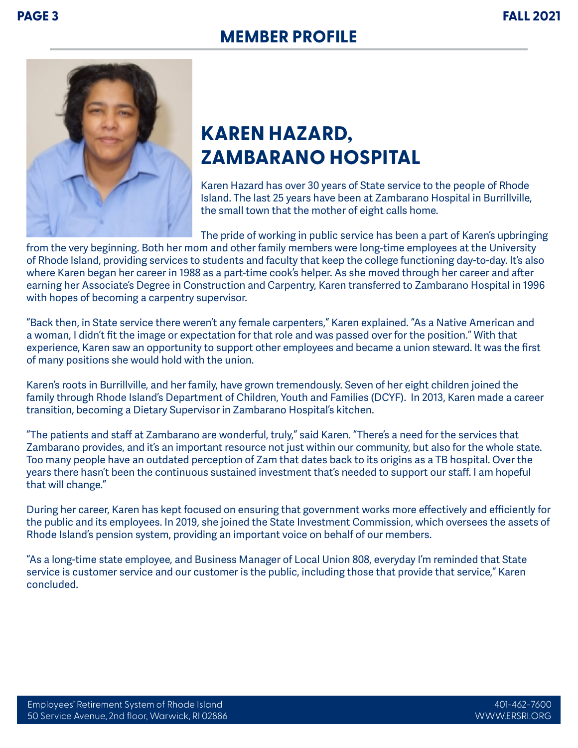



# **KAREN HAZARD, ZAMBARANO HOSPITAL**

Karen Hazard has over 30 years of State service to the people of Rhode Island. The last 25 years have been at Zambarano Hospital in Burrillville, the small town that the mother of eight calls home.

The pride of working in public service has been a part of Karen's upbringing from the very beginning. Both her mom and other family members were long-time employees at the University of Rhode Island, providing services to students and faculty that keep the college functioning day-to-day. It's also where Karen began her career in 1988 as a part-time cook's helper. As she moved through her career and after earning her Associate's Degree in Construction and Carpentry, Karen transferred to Zambarano Hospital in 1996 with hopes of becoming a carpentry supervisor.

"Back then, in State service there weren't any female carpenters," Karen explained. "As a Native American and a woman, I didn't fit the image or expectation for that role and was passed over for the position." With that experience, Karen saw an opportunity to support other employees and became a union steward. It was the first of many positions she would hold with the union.

Karen's roots in Burrillville, and her family, have grown tremendously. Seven of her eight children joined the family through Rhode Island's Department of Children, Youth and Families (DCYF). In 2013, Karen made a career transition, becoming a Dietary Supervisor in Zambarano Hospital's kitchen.

"The patients and staff at Zambarano are wonderful, truly," said Karen. "There's a need for the services that Zambarano provides, and it's an important resource not just within our community, but also for the whole state. Too many people have an outdated perception of Zam that dates back to its origins as a TB hospital. Over the years there hasn't been the continuous sustained investment that's needed to support our staff. I am hopeful that will change."

During her career, Karen has kept focused on ensuring that government works more effectively and efficiently for the public and its employees. In 2019, she joined the State Investment Commission, which oversees the assets of Rhode Island's pension system, providing an important voice on behalf of our members.

"As a long-time state employee, and Business Manager of Local Union 808, everyday I'm reminded that State service is customer service and our customer is the public, including those that provide that service," Karen concluded.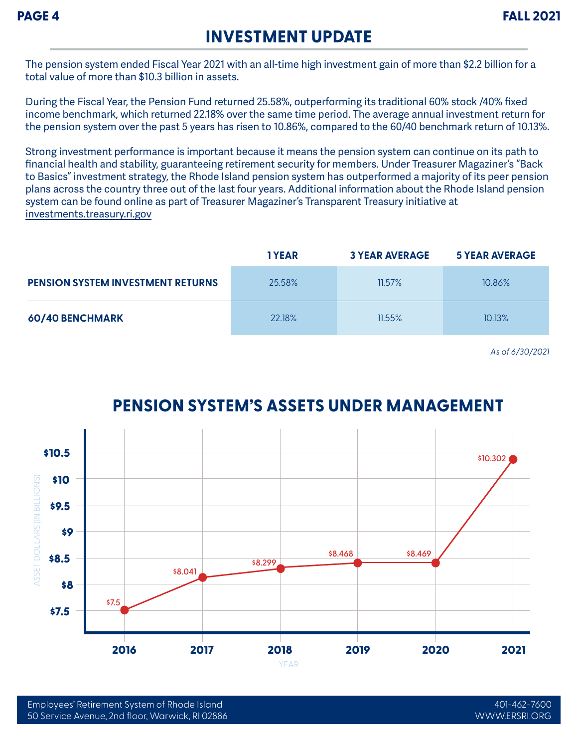### **INVESTMENT UPDATE**

The pension system ended Fiscal Year 2021 with an all-time high investment gain of more than \$2.2 billion for a total value of more than \$10.3 billion in assets.

During the Fiscal Year, the Pension Fund returned 25.58%, outperforming its traditional 60% stock /40% fixed income benchmark, which returned 22.18% over the same time period. The average annual investment return for the pension system over the past 5 years has risen to 10.86%, compared to the 60/40 benchmark return of 10.13%.

Strong investment performance is important because it means the pension system can continue on its path to financial health and stability, guaranteeing retirement security for members. Under Treasurer Magaziner's "Back to Basics" investment strategy, the Rhode Island pension system has outperformed a majority of its peer pension plans across the country three out of the last four years. Additional information about the Rhode Island pension system can be found online as part of Treasurer Magaziner's Transparent Treasury initiative at investments.treasury.ri.gov

|                                          | <b>TYEAR</b> | <b>3 YEAR AVERAGE</b> | <b>5 YEAR AVERAGE</b> |
|------------------------------------------|--------------|-----------------------|-----------------------|
| <b>PENSION SYSTEM INVESTMENT RETURNS</b> | 25.58%       | $11.57\%$             | 10.86%                |
| 60/40 BENCHMARK                          | 22.18%       | 11.55%                | 10.13%                |

*As of 6/30/2021*

#### **PENSION SYSTEM'S ASSETS UNDER MANAGEMENT**

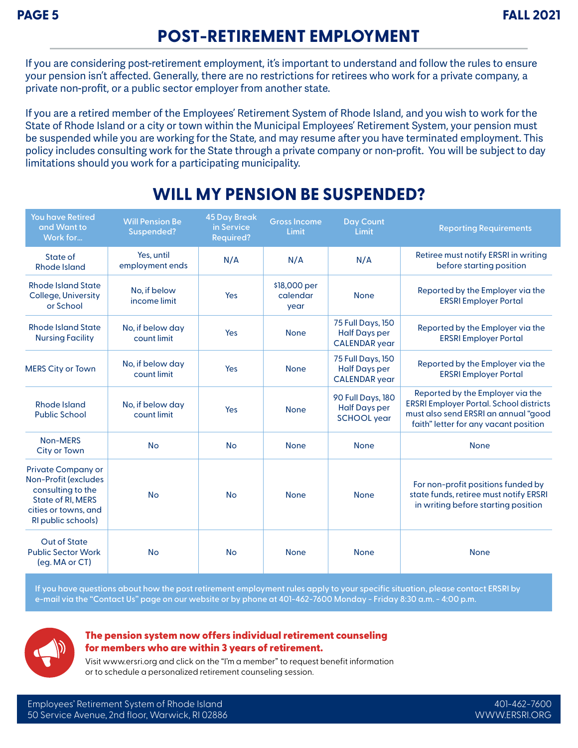## **POST-RETIREMENT EMPLOYMENT**

If you are considering post-retirement employment, it's important to understand and follow the rules to ensure your pension isn't affected. Generally, there are no restrictions for retirees who work for a private company, a private non-profit, or a public sector employer from another state.

If you are a retired member of the Employees' Retirement System of Rhode Island, and you wish to work for the State of Rhode Island or a city or town within the Municipal Employees' Retirement System, your pension must be suspended while you are working for the State, and may resume after you have terminated employment. This policy includes consulting work for the State through a private company or non-profit. You will be subject to day limitations should you work for a participating municipality.

| <b>You have Retired</b><br>and Want to<br>Work for                                                                                                      | <b>Will Pension Be</b><br>Suspended? | <b>45 Day Break</b><br>in Service<br><b>Required?</b> | <b>Gross Income</b><br>Limit     | <b>Day Count</b><br>Limit                                                | <b>Reporting Requirements</b>                                                                                                                                       |
|---------------------------------------------------------------------------------------------------------------------------------------------------------|--------------------------------------|-------------------------------------------------------|----------------------------------|--------------------------------------------------------------------------|---------------------------------------------------------------------------------------------------------------------------------------------------------------------|
| State of<br><b>Rhode Island</b>                                                                                                                         | Yes, until<br>employment ends        | N/A                                                   | N/A                              | N/A                                                                      | Retiree must notify ERSRI in writing<br>before starting position                                                                                                    |
| <b>Rhode Island State</b><br><b>College, University</b><br>or School                                                                                    | No, if below<br>income limit         | Yes                                                   | \$18,000 per<br>calendar<br>year | <b>None</b>                                                              | Reported by the Employer via the<br><b>ERSRI Employer Portal</b>                                                                                                    |
| <b>Rhode Island State</b><br><b>Nursing Facility</b>                                                                                                    | No, if below day<br>count limit      | Yes                                                   | <b>None</b>                      | 75 Full Days, 150<br><b>Half Days per</b><br><b>CALENDAR</b> year        | Reported by the Employer via the<br><b>ERSRI Employer Portal</b>                                                                                                    |
| <b>MERS City or Town</b>                                                                                                                                | No, if below day<br>count limit      | Yes                                                   | <b>None</b>                      | <b>75 Full Days, 150</b><br><b>Half Days per</b><br><b>CALENDAR</b> year | Reported by the Employer via the<br><b>ERSRI Employer Portal</b>                                                                                                    |
| <b>Rhode Island</b><br><b>Public School</b>                                                                                                             | No, if below day<br>count limit      | Yes                                                   | <b>None</b>                      | 90 Full Days, 180<br><b>Half Days per</b><br><b>SCHOOL</b> year          | Reported by the Employer via the<br><b>ERSRI Employer Portal. School districts</b><br>must also send ERSRI an annual "good<br>faith" letter for any vacant position |
| Non-MERS<br><b>City or Town</b>                                                                                                                         | <b>No</b>                            | <b>No</b>                                             | <b>None</b>                      | <b>None</b>                                                              | <b>None</b>                                                                                                                                                         |
| <b>Private Company or</b><br><b>Non-Profit (excludes</b><br>consulting to the<br><b>State of RI, MERS</b><br>cities or towns, and<br>RI public schools) | <b>No</b>                            | <b>No</b>                                             | <b>None</b>                      | <b>None</b>                                                              | For non-profit positions funded by<br>state funds, retiree must notify ERSRI<br>in writing before starting position                                                 |
| <b>Out of State</b><br><b>Public Sector Work</b><br>(eg. MA or CT)                                                                                      | <b>No</b>                            | <b>No</b>                                             | <b>None</b>                      | <b>None</b>                                                              | <b>None</b>                                                                                                                                                         |

### **WILL MY PENSION BE SUSPENDED?**

**If you have questions about how the post retirement employment rules apply to your specific situation, please contact ERSRI by e-mail via the "Contact Us" page on our website or by phone at 401-462-7600 Monday - Friday 8:30 a.m. - 4:00 p.m.**



#### The pension system now offers individual retirement counseling for members who are within 3 years of retirement.

Visit www.ersri.org and click on the "I'm a member" to request benefit information or to schedule a personalized retirement counseling session.